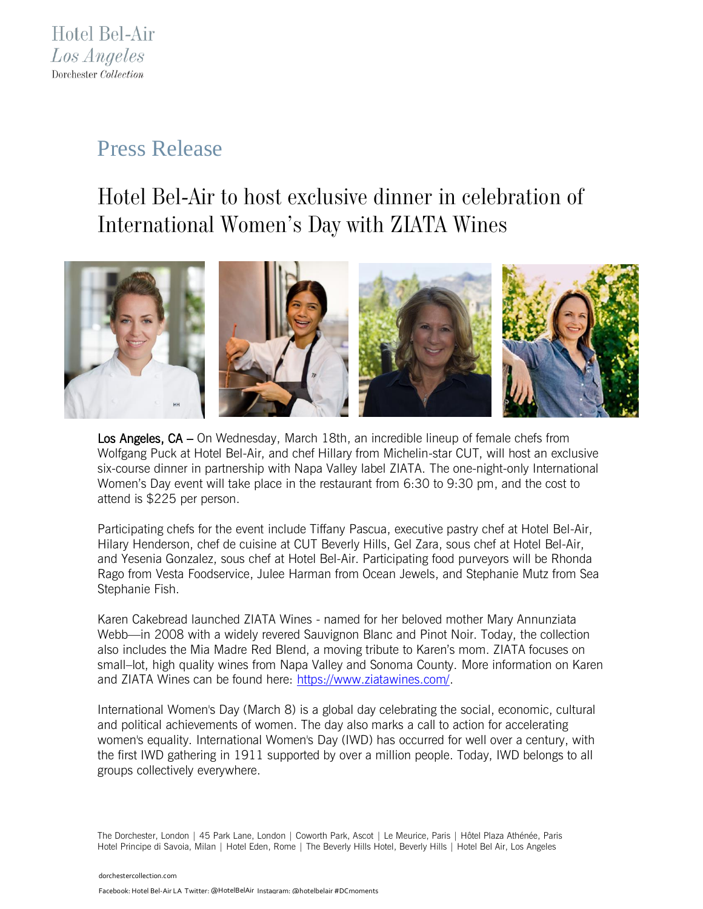## Press Release

## *Hotel Bel-Air to host exclusive dinner in celebration of International Women's Day with ZIATA Wines*



Los Angeles, CA – On Wednesday, March 18th, an incredible lineup of female chefs from Wolfgang Puck at Hotel Bel-Air, and chef Hillary from Michelin-star CUT, will host an exclusive six-course dinner in partnership with Napa Valley label ZIATA. The one-night-only International Women's Day event will take place in the restaurant from 6:30 to 9:30 pm, and the cost to attend is \$225 per person.

Participating chefs for the event include Tiffany Pascua, executive pastry chef at Hotel Bel-Air, Hilary Henderson, chef de cuisine at CUT Beverly Hills, Gel Zara, sous chef at Hotel Bel-Air, and Yesenia Gonzalez, sous chef at Hotel Bel-Air. Participating food purveyors will be Rhonda Rago from Vesta Foodservice, Julee Harman from Ocean Jewels, and Stephanie Mutz from Sea Stephanie Fish.

Karen Cakebread launched ZIATA Wines - named for her beloved mother Mary Annunziata Webb—in 2008 with a widely revered Sauvignon Blanc and Pinot Noir. Today, the collection also includes the Mia Madre Red Blend, a moving tribute to Karen's mom. ZIATA focuses on small–lot, high quality wines from Napa Valley and Sonoma County. More information on Karen and ZIATA Wines can be found here: [https://www.ziatawines.com/.](https://www.ziatawines.com/)

International Women's Day (March 8) is a global day celebrating the social, economic, cultural and political achievements of women. The day also marks a call to action for accelerating women's equality. International Women's Day (IWD) has occurred for well over a century, with the first IWD gathering in 1911 supported by over a million people. Today, IWD belongs to all groups collectively everywhere.

The Dorchester, London | 45 Park Lane, London | Coworth Park, Ascot | Le Meurice, Paris | Hôtel Plaza Athénée, Paris Hotel Principe di Savoia, Milan | Hotel Eden, Rome | The Beverly Hills Hotel, Beverly Hills | Hotel Bel Air, Los Angeles

[dorchestercollection.com](http://www.dorchestercollection.com/)